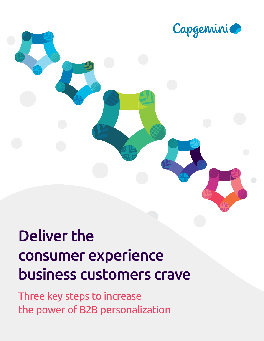

## Deliver the consumer experience business customers crave

Three key steps to increase the power of B2B personalization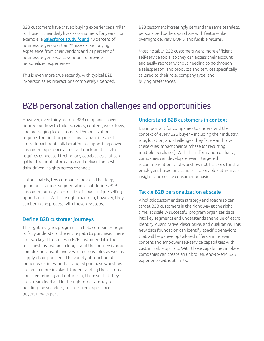B2B customers have craved buying experiences similar to those in their daily lives as consumers for years. For example, a **[Salesforce study found](https://c1.sfdcstatic.com/content/dam/web/en_us/www/documents/commerce-cloud/sfcc_TransformingB2B_Ebook.pdf)** 70 percent of business buyers want an "Amazon-like" buying experience from their vendors and 74 percent of business buyers expect vendors to provide personalized experiences.

This is even more true recently, with typical B2B in-person sales interactions completely upended.

B2B customers increasingly demand the same seamless, personalized path-to-purchase with features like overnight delivery, BOPIS, and flexible returns.

Most notably, B2B customers want more efficient self-service tools, so they can access their account and easily reorder without needing to go through a salesperson, and products and services specifically tailored to their role, company type, and buying preferences.

### B2B personalization challenges and opportunities

However, even fairly mature B2B companies haven't figured out how to tailor services, content, workflows, and messaging for customers. Personalization requires the right organizational capabilities and cross-department collaboration to support improved customer experience across all touchpoints. It also requires connected technology capabilities that can gather the right information and deliver the best data-driven insights across channels.

Unfortunately, few companies possess the deep, granular customer segmentation that defines B2B customer journeys in order to discover unique selling opportunities. With the right roadmap, however, they can begin the process with these key steps.

#### Define B2B customer journeys

The right analytics program can help companies begin to fully understand the entire path to purchase. There are two key differences in B2B customer data: the relationships last much longer and the journey is more complex because it involves numerous roles as well as supply-chain partners. The variety of touchpoints, longer lead-times, and entangled purchase workflows are much more involved. Understanding these steps and then refining and optimizing them so that they are streamlined and in the right order are key to building the seamless, friction-free experience buyers now expect.

### Understand B2B customers in context

It is important for companies to understand the context of every B2B buyer – including their industry, role, location, and challenges they face – and how these cues impact their purchase (or recurring, multiple purchases). With this information on hand, companies can develop relevant, targeted recommendations and workflow notifications for the employees based on accurate, actionable data-driven insights and online consumer behavior.

### Tackle B2B personalization at scale

A holistic customer data strategy and roadmap can target B2B customers in the right way at the right time, at scale. A successful program organizes data into key segments and understands the value of each: identity, quantitative, descriptive, and qualitative. This new data foundation can identify specific behaviors that will help develop tailored offers and relevant content and empower self-service capabilities with customizable options. With those capabilities in place, companies can create an unbroken, end-to-end B2B experience without limits.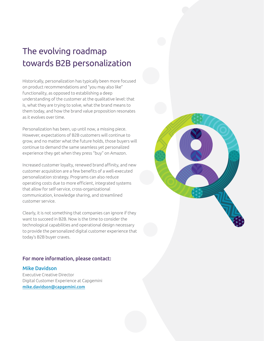## The evolving roadmap towards B2B personalization

Historically, personalization has typically been more focused on product recommendations and "you may also like" functionality, as opposed to establishing a deep understanding of the customer at the qualitative level: that is, what they are trying to solve, what the brand means to them today, and how the brand value proposition resonates as it evolves over time.

Personalization has been, up until now, a missing piece. However, expectations of B2B customers will continue to grow, and no matter what the future holds, those buyers will continue to demand the same seamless yet personalized experience they get when they press "buy" on Amazon.

Increased customer loyalty, renewed brand affinity, and new customer acquisition are a few benefits of a well-executed personalization strategy. Programs can also reduce operating costs due to more efficient, integrated systems that allow for self-service, cross-organizational communication, knowledge sharing, and streamlined customer service.

Clearly, it is not something that companies can ignore if they want to succeed in B2B. Now is the time to consider the technological capabilities and operational design necessary to provide the personalized digital customer experience that today's B2B buyer craves.

### For more information, please contact:

### Mike Davidson

Executive Creative Director Digital Customer Experience at Capgemini [mike.davidson@capgemini.com](mailto:mike.davidson%40capgemini.com?subject=)